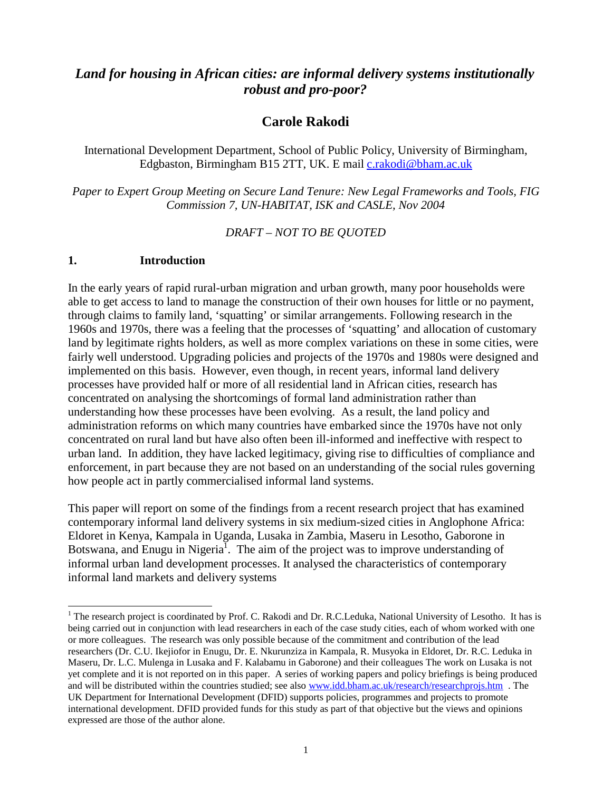# *Land for housing in African cities: are informal delivery systems institutionally robust and pro-poor?*

## **Carole Rakodi**

International Development Department, School of Public Policy, University of Birmingham, Edgbaston, Birmingham B15 2TT, UK. E mail [c.rakodi@bham.ac.uk](mailto:c.rakodi@bham.ac.uk)

*Paper to Expert Group Meeting on Secure Land Tenure: New Legal Frameworks and Tools, FIG Commission 7, UN-HABITAT, ISK and CASLE, Nov 2004* 

*DRAFT – NOT TO BE QUOTED* 

#### **1. Introduction**

l

In the early years of rapid rural-urban migration and urban growth, many poor households were able to get access to land to manage the construction of their own houses for little or no payment, through claims to family land, 'squatting' or similar arrangements. Following research in the 1960s and 1970s, there was a feeling that the processes of 'squatting' and allocation of customary land by legitimate rights holders, as well as more complex variations on these in some cities, were fairly well understood. Upgrading policies and projects of the 1970s and 1980s were designed and implemented on this basis. However, even though, in recent years, informal land delivery processes have provided half or more of all residential land in African cities, research has concentrated on analysing the shortcomings of formal land administration rather than understanding how these processes have been evolving. As a result, the land policy and administration reforms on which many countries have embarked since the 1970s have not only concentrated on rural land but have also often been ill-informed and ineffective with respect to urban land. In addition, they have lacked legitimacy, giving rise to difficulties of compliance and enforcement, in part because they are not based on an understanding of the social rules governing how people act in partly commercialised informal land systems.

This paper will report on some of the findings from a recent research project that has examined contemporary informal land delivery systems in six medium-sized cities in Anglophone Africa: Eldoret in Kenya, Kampala in Uganda, Lusaka in Zambia, Maseru in Lesotho, Gaborone in Botswana, and Enugu in Nigeria<sup>1</sup>. The aim of the project was to improve understanding of informal urban land development processes. It analysed the characteristics of contemporary informal land markets and delivery systems

<sup>&</sup>lt;sup>1</sup> The research project is coordinated by Prof. C. Rakodi and Dr. R.C.Leduka, National University of Lesotho. It has is being carried out in conjunction with lead researchers in each of the case study cities, each of whom worked with one or more colleagues. The research was only possible because of the commitment and contribution of the lead researchers (Dr. C.U. Ikejiofor in Enugu, Dr. E. Nkurunziza in Kampala, R. Musyoka in Eldoret, Dr. R.C. Leduka in Maseru, Dr. L.C. Mulenga in Lusaka and F. Kalabamu in Gaborone) and their colleagues The work on Lusaka is not yet complete and it is not reported on in this paper. A series of working papers and policy briefings is being produced and will be distributed within the countries studied; see also [www.idd.bham.ac.uk/research/researchprojs.htm](http://www.idd.bham.ac.uk/research/researchprojs.htm) . The UK Department for International Development (DFID) supports policies, programmes and projects to promote international development. DFID provided funds for this study as part of that objective but the views and opinions expressed are those of the author alone.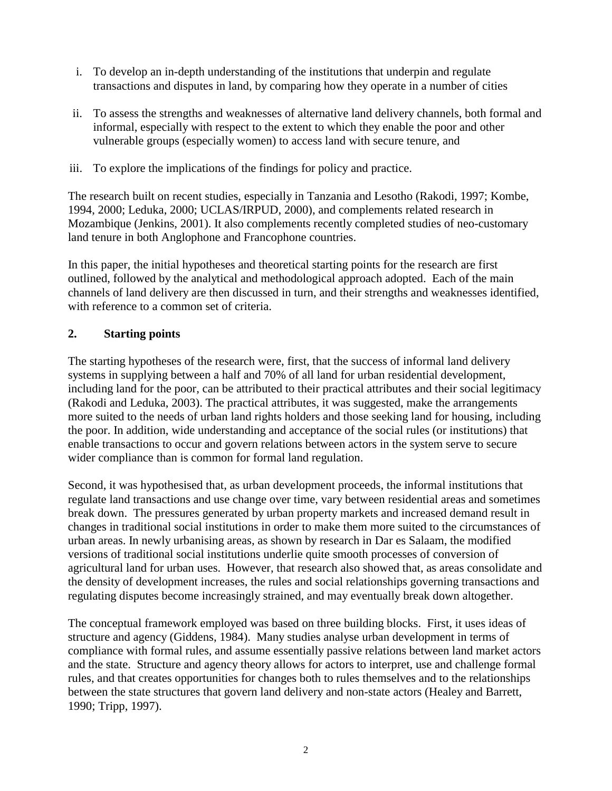- i. To develop an in-depth understanding of the institutions that underpin and regulate transactions and disputes in land, by comparing how they operate in a number of cities
- ii. To assess the strengths and weaknesses of alternative land delivery channels, both formal and informal, especially with respect to the extent to which they enable the poor and other vulnerable groups (especially women) to access land with secure tenure, and
- iii. To explore the implications of the findings for policy and practice.

The research built on recent studies, especially in Tanzania and Lesotho (Rakodi, 1997; Kombe, 1994, 2000; Leduka, 2000; UCLAS/IRPUD, 2000), and complements related research in Mozambique (Jenkins, 2001). It also complements recently completed studies of neo-customary land tenure in both Anglophone and Francophone countries.

In this paper, the initial hypotheses and theoretical starting points for the research are first outlined, followed by the analytical and methodological approach adopted. Each of the main channels of land delivery are then discussed in turn, and their strengths and weaknesses identified, with reference to a common set of criteria.

### **2. Starting points**

The starting hypotheses of the research were, first, that the success of informal land delivery systems in supplying between a half and 70% of all land for urban residential development, including land for the poor, can be attributed to their practical attributes and their social legitimacy (Rakodi and Leduka, 2003). The practical attributes, it was suggested, make the arrangements more suited to the needs of urban land rights holders and those seeking land for housing, including the poor. In addition, wide understanding and acceptance of the social rules (or institutions) that enable transactions to occur and govern relations between actors in the system serve to secure wider compliance than is common for formal land regulation.

Second, it was hypothesised that, as urban development proceeds, the informal institutions that regulate land transactions and use change over time, vary between residential areas and sometimes break down. The pressures generated by urban property markets and increased demand result in changes in traditional social institutions in order to make them more suited to the circumstances of urban areas. In newly urbanising areas, as shown by research in Dar es Salaam, the modified versions of traditional social institutions underlie quite smooth processes of conversion of agricultural land for urban uses. However, that research also showed that, as areas consolidate and the density of development increases, the rules and social relationships governing transactions and regulating disputes become increasingly strained, and may eventually break down altogether.

The conceptual framework employed was based on three building blocks. First, it uses ideas of structure and agency (Giddens, 1984). Many studies analyse urban development in terms of compliance with formal rules, and assume essentially passive relations between land market actors and the state. Structure and agency theory allows for actors to interpret, use and challenge formal rules, and that creates opportunities for changes both to rules themselves and to the relationships between the state structures that govern land delivery and non-state actors (Healey and Barrett, 1990; Tripp, 1997).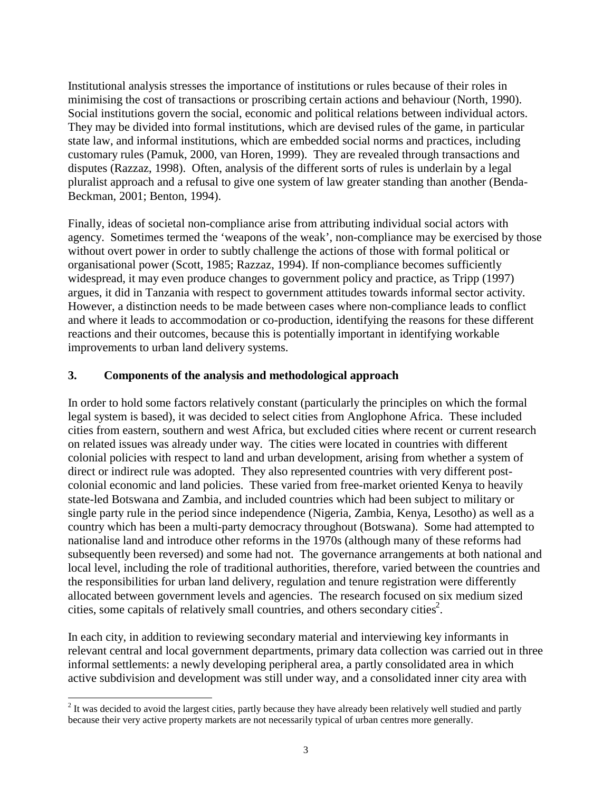Institutional analysis stresses the importance of institutions or rules because of their roles in minimising the cost of transactions or proscribing certain actions and behaviour (North, 1990). Social institutions govern the social, economic and political relations between individual actors. They may be divided into formal institutions, which are devised rules of the game, in particular state law, and informal institutions, which are embedded social norms and practices, including customary rules (Pamuk, 2000, van Horen, 1999). They are revealed through transactions and disputes (Razzaz, 1998). Often, analysis of the different sorts of rules is underlain by a legal pluralist approach and a refusal to give one system of law greater standing than another (Benda-Beckman, 2001; Benton, 1994).

Finally, ideas of societal non-compliance arise from attributing individual social actors with agency. Sometimes termed the 'weapons of the weak', non-compliance may be exercised by those without overt power in order to subtly challenge the actions of those with formal political or organisational power (Scott, 1985; Razzaz, 1994). If non-compliance becomes sufficiently widespread, it may even produce changes to government policy and practice, as Tripp (1997) argues, it did in Tanzania with respect to government attitudes towards informal sector activity. However, a distinction needs to be made between cases where non-compliance leads to conflict and where it leads to accommodation or co-production, identifying the reasons for these different reactions and their outcomes, because this is potentially important in identifying workable improvements to urban land delivery systems.

#### **3. Components of the analysis and methodological approach**

In order to hold some factors relatively constant (particularly the principles on which the formal legal system is based), it was decided to select cities from Anglophone Africa. These included cities from eastern, southern and west Africa, but excluded cities where recent or current research on related issues was already under way. The cities were located in countries with different colonial policies with respect to land and urban development, arising from whether a system of direct or indirect rule was adopted. They also represented countries with very different postcolonial economic and land policies. These varied from free-market oriented Kenya to heavily state-led Botswana and Zambia, and included countries which had been subject to military or single party rule in the period since independence (Nigeria, Zambia, Kenya, Lesotho) as well as a country which has been a multi-party democracy throughout (Botswana). Some had attempted to nationalise land and introduce other reforms in the 1970s (although many of these reforms had subsequently been reversed) and some had not. The governance arrangements at both national and local level, including the role of traditional authorities, therefore, varied between the countries and the responsibilities for urban land delivery, regulation and tenure registration were differently allocated between government levels and agencies. The research focused on six medium sized cities, some capitals of relatively small countries, and others secondary cities<sup>2</sup>.

In each city, in addition to reviewing secondary material and interviewing key informants in relevant central and local government departments, primary data collection was carried out in three informal settlements: a newly developing peripheral area, a partly consolidated area in which active subdivision and development was still under way, and a consolidated inner city area with

l

 $2<sup>2</sup>$  It was decided to avoid the largest cities, partly because they have already been relatively well studied and partly because their very active property markets are not necessarily typical of urban centres more generally.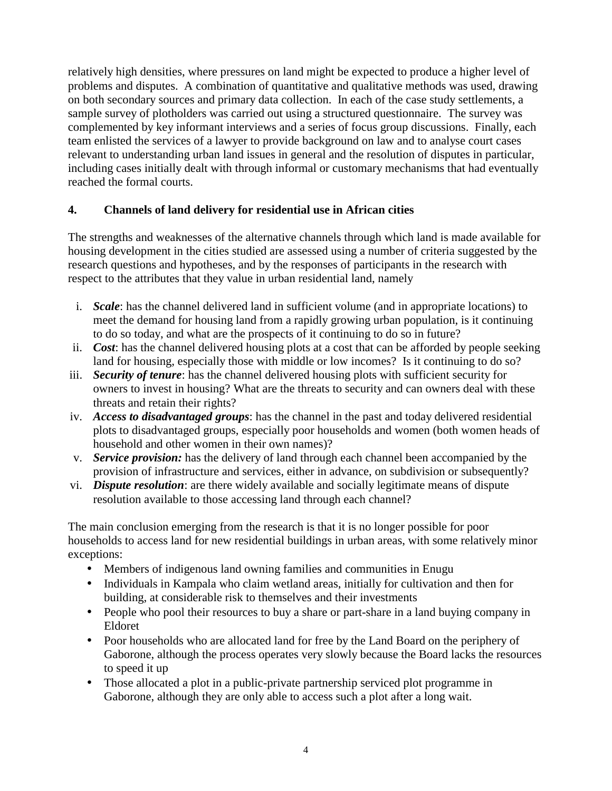relatively high densities, where pressures on land might be expected to produce a higher level of problems and disputes. A combination of quantitative and qualitative methods was used, drawing on both secondary sources and primary data collection. In each of the case study settlements, a sample survey of plotholders was carried out using a structured questionnaire. The survey was complemented by key informant interviews and a series of focus group discussions. Finally, each team enlisted the services of a lawyer to provide background on law and to analyse court cases relevant to understanding urban land issues in general and the resolution of disputes in particular, including cases initially dealt with through informal or customary mechanisms that had eventually reached the formal courts.

## **4. Channels of land delivery for residential use in African cities**

The strengths and weaknesses of the alternative channels through which land is made available for housing development in the cities studied are assessed using a number of criteria suggested by the research questions and hypotheses, and by the responses of participants in the research with respect to the attributes that they value in urban residential land, namely

- i. *Scale*: has the channel delivered land in sufficient volume (and in appropriate locations) to meet the demand for housing land from a rapidly growing urban population, is it continuing to do so today, and what are the prospects of it continuing to do so in future?
- ii. *Cost*: has the channel delivered housing plots at a cost that can be afforded by people seeking land for housing, especially those with middle or low incomes? Is it continuing to do so?
- iii. *Security of tenure*: has the channel delivered housing plots with sufficient security for owners to invest in housing? What are the threats to security and can owners deal with these threats and retain their rights?
- iv. *Access to disadvantaged groups*: has the channel in the past and today delivered residential plots to disadvantaged groups, especially poor households and women (both women heads of household and other women in their own names)?
- v. *Service provision:* has the delivery of land through each channel been accompanied by the provision of infrastructure and services, either in advance, on subdivision or subsequently?
- vi. *Dispute resolution*: are there widely available and socially legitimate means of dispute resolution available to those accessing land through each channel?

The main conclusion emerging from the research is that it is no longer possible for poor households to access land for new residential buildings in urban areas, with some relatively minor exceptions:

- Members of indigenous land owning families and communities in Enugu
- Individuals in Kampala who claim wetland areas, initially for cultivation and then for building, at considerable risk to themselves and their investments
- People who pool their resources to buy a share or part-share in a land buying company in Eldoret
- Poor households who are allocated land for free by the Land Board on the periphery of Gaborone, although the process operates very slowly because the Board lacks the resources to speed it up
- Those allocated a plot in a public-private partnership serviced plot programme in Gaborone, although they are only able to access such a plot after a long wait.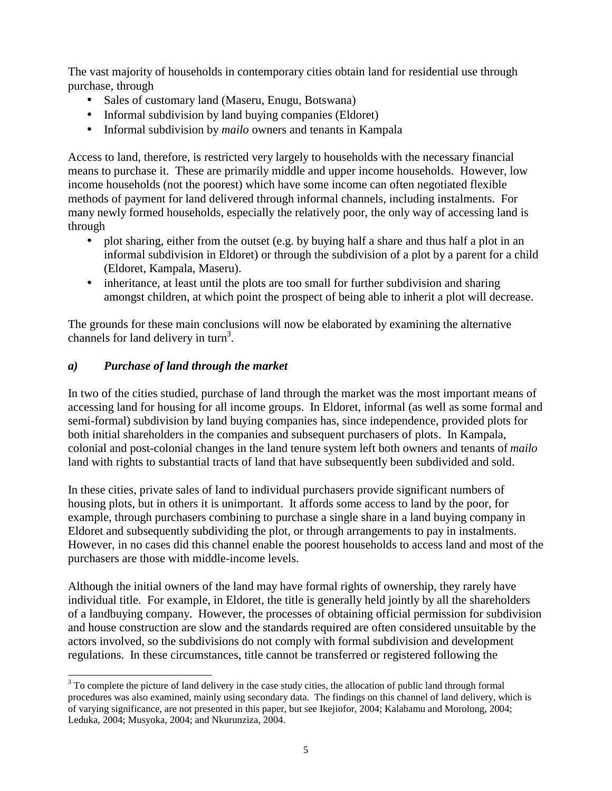The vast majority of households in contemporary cities obtain land for residential use through purchase, through

- Sales of customary land (Maseru, Enugu, Botswana)
- Informal subdivision by land buying companies (Eldoret)
- Informal subdivision by *mailo* owners and tenants in Kampala

Access to land, therefore, is restricted very largely to households with the necessary financial means to purchase it. These are primarily middle and upper income households. However, low income households (not the poorest) which have some income can often negotiated flexible methods of payment for land delivered through informal channels, including instalments. For many newly formed households, especially the relatively poor, the only way of accessing land is through

- plot sharing, either from the outset (e.g. by buying half a share and thus half a plot in an informal subdivision in Eldoret) or through the subdivision of a plot by a parent for a child (Eldoret, Kampala, Maseru).
- inheritance, at least until the plots are too small for further subdivision and sharing amongst children, at which point the prospect of being able to inherit a plot will decrease.

The grounds for these main conclusions will now be elaborated by examining the alternative channels for land delivery in turn<sup>3</sup>.

## *a) Purchase of land through the market*

In two of the cities studied, purchase of land through the market was the most important means of accessing land for housing for all income groups. In Eldoret, informal (as well as some formal and semi-formal) subdivision by land buying companies has, since independence, provided plots for both initial shareholders in the companies and subsequent purchasers of plots. In Kampala, colonial and post-colonial changes in the land tenure system left both owners and tenants of *mailo* land with rights to substantial tracts of land that have subsequently been subdivided and sold.

In these cities, private sales of land to individual purchasers provide significant numbers of housing plots, but in others it is unimportant. It affords some access to land by the poor, for example, through purchasers combining to purchase a single share in a land buying company in Eldoret and subsequently subdividing the plot, or through arrangements to pay in instalments. However, in no cases did this channel enable the poorest households to access land and most of the purchasers are those with middle-income levels.

Although the initial owners of the land may have formal rights of ownership, they rarely have individual title. For example, in Eldoret, the title is generally held jointly by all the shareholders of a landbuying company. However, the processes of obtaining official permission for subdivision and house construction are slow and the standards required are often considered unsuitable by the actors involved, so the subdivisions do not comply with formal subdivision and development regulations. In these circumstances, title cannot be transferred or registered following the

l <sup>3</sup> To complete the picture of land delivery in the case study cities, the allocation of public land through formal procedures was also examined, mainly using secondary data. The findings on this channel of land delivery, which is of varying significance, are not presented in this paper, but see Ikejiofor, 2004; Kalabamu and Morolong, 2004; Leduka, 2004; Musyoka, 2004; and Nkurunziza, 2004.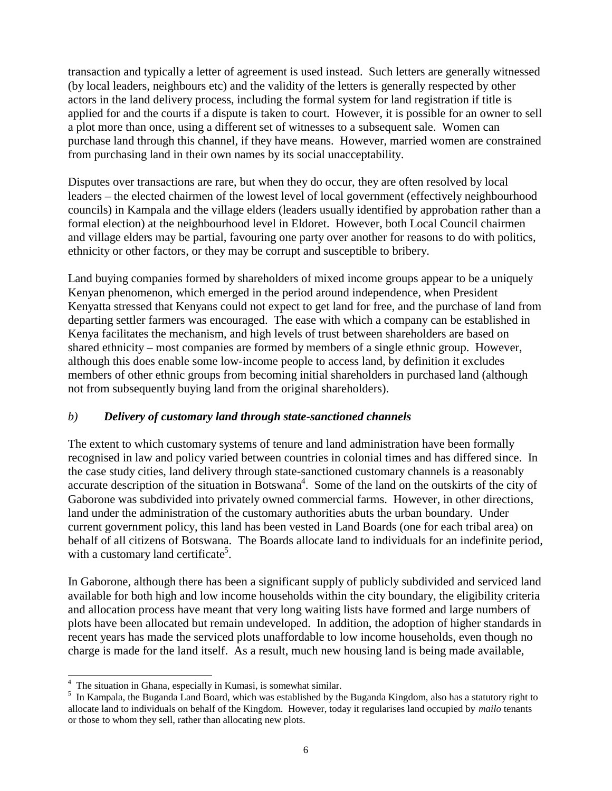transaction and typically a letter of agreement is used instead. Such letters are generally witnessed (by local leaders, neighbours etc) and the validity of the letters is generally respected by other actors in the land delivery process, including the formal system for land registration if title is applied for and the courts if a dispute is taken to court. However, it is possible for an owner to sell a plot more than once, using a different set of witnesses to a subsequent sale. Women can purchase land through this channel, if they have means. However, married women are constrained from purchasing land in their own names by its social unacceptability.

Disputes over transactions are rare, but when they do occur, they are often resolved by local leaders – the elected chairmen of the lowest level of local government (effectively neighbourhood councils) in Kampala and the village elders (leaders usually identified by approbation rather than a formal election) at the neighbourhood level in Eldoret. However, both Local Council chairmen and village elders may be partial, favouring one party over another for reasons to do with politics, ethnicity or other factors, or they may be corrupt and susceptible to bribery.

Land buying companies formed by shareholders of mixed income groups appear to be a uniquely Kenyan phenomenon, which emerged in the period around independence, when President Kenyatta stressed that Kenyans could not expect to get land for free, and the purchase of land from departing settler farmers was encouraged. The ease with which a company can be established in Kenya facilitates the mechanism, and high levels of trust between shareholders are based on shared ethnicity – most companies are formed by members of a single ethnic group. However, although this does enable some low-income people to access land, by definition it excludes members of other ethnic groups from becoming initial shareholders in purchased land (although not from subsequently buying land from the original shareholders).

### *b) Delivery of customary land through state-sanctioned channels*

The extent to which customary systems of tenure and land administration have been formally recognised in law and policy varied between countries in colonial times and has differed since. In the case study cities, land delivery through state-sanctioned customary channels is a reasonably accurate description of the situation in Botswana<sup>4</sup>. Some of the land on the outskirts of the city of Gaborone was subdivided into privately owned commercial farms. However, in other directions, land under the administration of the customary authorities abuts the urban boundary. Under current government policy, this land has been vested in Land Boards (one for each tribal area) on behalf of all citizens of Botswana. The Boards allocate land to individuals for an indefinite period, with a customary land certificate<sup>5</sup>.

In Gaborone, although there has been a significant supply of publicly subdivided and serviced land available for both high and low income households within the city boundary, the eligibility criteria and allocation process have meant that very long waiting lists have formed and large numbers of plots have been allocated but remain undeveloped. In addition, the adoption of higher standards in recent years has made the serviced plots unaffordable to low income households, even though no charge is made for the land itself. As a result, much new housing land is being made available,

l <sup>4</sup> The situation in Ghana, especially in Kumasi, is somewhat similar.

<sup>&</sup>lt;sup>5</sup> In Kampala, the Buganda Land Board, which was established by the Buganda Kingdom, also has a statutory right to allocate land to individuals on behalf of the Kingdom. However, today it regularises land occupied by *mailo* tenants or those to whom they sell, rather than allocating new plots.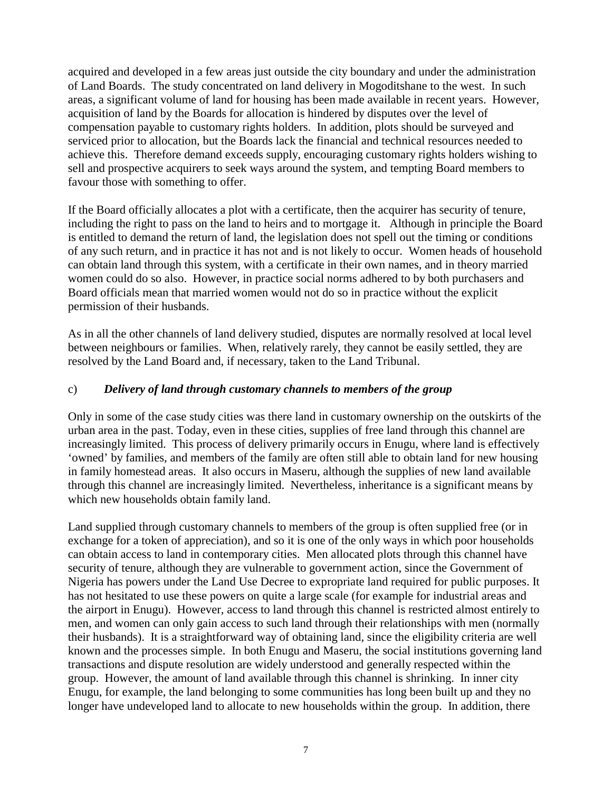acquired and developed in a few areas just outside the city boundary and under the administration of Land Boards. The study concentrated on land delivery in Mogoditshane to the west. In such areas, a significant volume of land for housing has been made available in recent years. However, acquisition of land by the Boards for allocation is hindered by disputes over the level of compensation payable to customary rights holders. In addition, plots should be surveyed and serviced prior to allocation, but the Boards lack the financial and technical resources needed to achieve this. Therefore demand exceeds supply, encouraging customary rights holders wishing to sell and prospective acquirers to seek ways around the system, and tempting Board members to favour those with something to offer.

If the Board officially allocates a plot with a certificate, then the acquirer has security of tenure, including the right to pass on the land to heirs and to mortgage it. Although in principle the Board is entitled to demand the return of land, the legislation does not spell out the timing or conditions of any such return, and in practice it has not and is not likely to occur. Women heads of household can obtain land through this system, with a certificate in their own names, and in theory married women could do so also. However, in practice social norms adhered to by both purchasers and Board officials mean that married women would not do so in practice without the explicit permission of their husbands.

As in all the other channels of land delivery studied, disputes are normally resolved at local level between neighbours or families. When, relatively rarely, they cannot be easily settled, they are resolved by the Land Board and, if necessary, taken to the Land Tribunal.

#### c) *Delivery of land through customary channels to members of the group*

Only in some of the case study cities was there land in customary ownership on the outskirts of the urban area in the past. Today, even in these cities, supplies of free land through this channel are increasingly limited. This process of delivery primarily occurs in Enugu, where land is effectively 'owned' by families, and members of the family are often still able to obtain land for new housing in family homestead areas. It also occurs in Maseru, although the supplies of new land available through this channel are increasingly limited. Nevertheless, inheritance is a significant means by which new households obtain family land.

Land supplied through customary channels to members of the group is often supplied free (or in exchange for a token of appreciation), and so it is one of the only ways in which poor households can obtain access to land in contemporary cities. Men allocated plots through this channel have security of tenure, although they are vulnerable to government action, since the Government of Nigeria has powers under the Land Use Decree to expropriate land required for public purposes. It has not hesitated to use these powers on quite a large scale (for example for industrial areas and the airport in Enugu). However, access to land through this channel is restricted almost entirely to men, and women can only gain access to such land through their relationships with men (normally their husbands). It is a straightforward way of obtaining land, since the eligibility criteria are well known and the processes simple. In both Enugu and Maseru, the social institutions governing land transactions and dispute resolution are widely understood and generally respected within the group. However, the amount of land available through this channel is shrinking. In inner city Enugu, for example, the land belonging to some communities has long been built up and they no longer have undeveloped land to allocate to new households within the group. In addition, there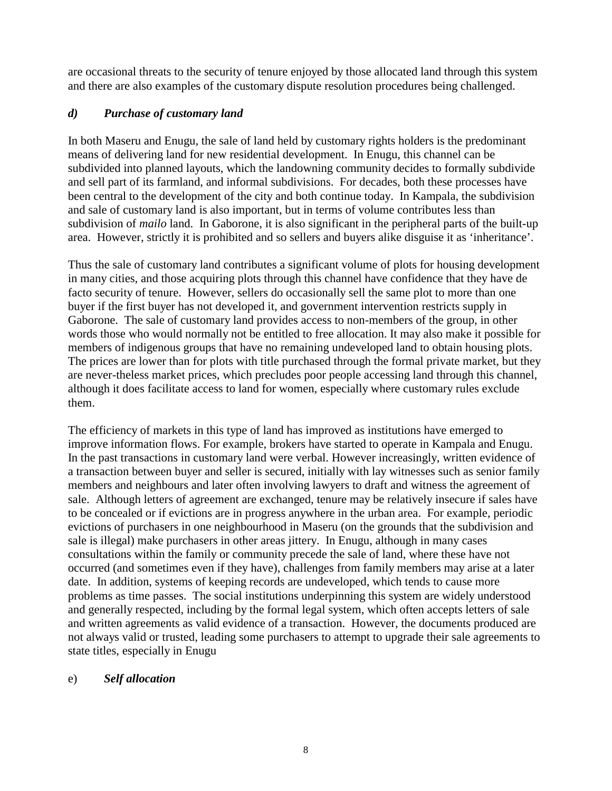are occasional threats to the security of tenure enjoyed by those allocated land through this system and there are also examples of the customary dispute resolution procedures being challenged.

## *d) Purchase of customary land*

In both Maseru and Enugu, the sale of land held by customary rights holders is the predominant means of delivering land for new residential development. In Enugu, this channel can be subdivided into planned layouts, which the landowning community decides to formally subdivide and sell part of its farmland, and informal subdivisions. For decades, both these processes have been central to the development of the city and both continue today. In Kampala, the subdivision and sale of customary land is also important, but in terms of volume contributes less than subdivision of *mailo* land. In Gaborone, it is also significant in the peripheral parts of the built-up area. However, strictly it is prohibited and so sellers and buyers alike disguise it as 'inheritance'.

Thus the sale of customary land contributes a significant volume of plots for housing development in many cities, and those acquiring plots through this channel have confidence that they have de facto security of tenure. However, sellers do occasionally sell the same plot to more than one buyer if the first buyer has not developed it, and government intervention restricts supply in Gaborone. The sale of customary land provides access to non-members of the group, in other words those who would normally not be entitled to free allocation. It may also make it possible for members of indigenous groups that have no remaining undeveloped land to obtain housing plots. The prices are lower than for plots with title purchased through the formal private market, but they are never-theless market prices, which precludes poor people accessing land through this channel, although it does facilitate access to land for women, especially where customary rules exclude them.

The efficiency of markets in this type of land has improved as institutions have emerged to improve information flows. For example, brokers have started to operate in Kampala and Enugu. In the past transactions in customary land were verbal. However increasingly, written evidence of a transaction between buyer and seller is secured, initially with lay witnesses such as senior family members and neighbours and later often involving lawyers to draft and witness the agreement of sale. Although letters of agreement are exchanged, tenure may be relatively insecure if sales have to be concealed or if evictions are in progress anywhere in the urban area. For example, periodic evictions of purchasers in one neighbourhood in Maseru (on the grounds that the subdivision and sale is illegal) make purchasers in other areas jittery. In Enugu, although in many cases consultations within the family or community precede the sale of land, where these have not occurred (and sometimes even if they have), challenges from family members may arise at a later date. In addition, systems of keeping records are undeveloped, which tends to cause more problems as time passes. The social institutions underpinning this system are widely understood and generally respected, including by the formal legal system, which often accepts letters of sale and written agreements as valid evidence of a transaction. However, the documents produced are not always valid or trusted, leading some purchasers to attempt to upgrade their sale agreements to state titles, especially in Enugu

### e) *Self allocation*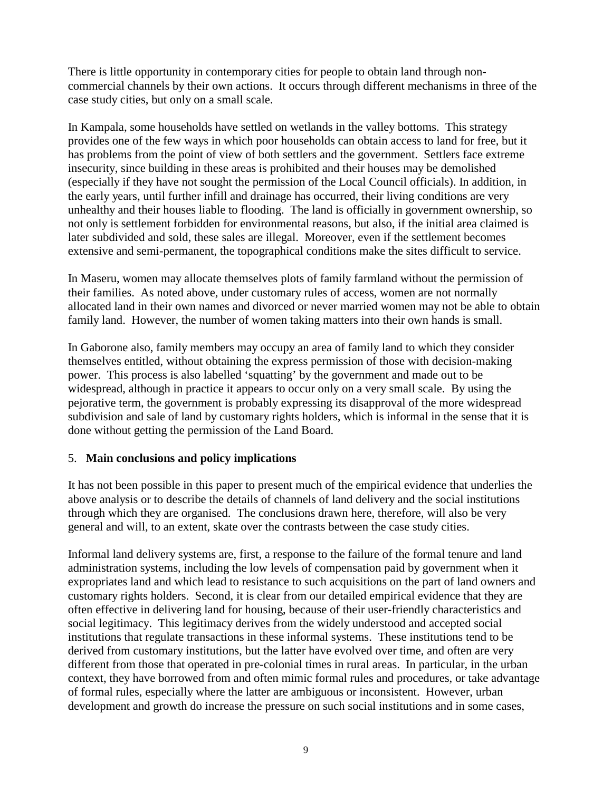There is little opportunity in contemporary cities for people to obtain land through noncommercial channels by their own actions. It occurs through different mechanisms in three of the case study cities, but only on a small scale.

In Kampala, some households have settled on wetlands in the valley bottoms. This strategy provides one of the few ways in which poor households can obtain access to land for free, but it has problems from the point of view of both settlers and the government. Settlers face extreme insecurity, since building in these areas is prohibited and their houses may be demolished (especially if they have not sought the permission of the Local Council officials). In addition, in the early years, until further infill and drainage has occurred, their living conditions are very unhealthy and their houses liable to flooding. The land is officially in government ownership, so not only is settlement forbidden for environmental reasons, but also, if the initial area claimed is later subdivided and sold, these sales are illegal. Moreover, even if the settlement becomes extensive and semi-permanent, the topographical conditions make the sites difficult to service.

In Maseru, women may allocate themselves plots of family farmland without the permission of their families. As noted above, under customary rules of access, women are not normally allocated land in their own names and divorced or never married women may not be able to obtain family land. However, the number of women taking matters into their own hands is small.

In Gaborone also, family members may occupy an area of family land to which they consider themselves entitled, without obtaining the express permission of those with decision-making power. This process is also labelled 'squatting' by the government and made out to be widespread, although in practice it appears to occur only on a very small scale. By using the pejorative term, the government is probably expressing its disapproval of the more widespread subdivision and sale of land by customary rights holders, which is informal in the sense that it is done without getting the permission of the Land Board.

### 5. **Main conclusions and policy implications**

It has not been possible in this paper to present much of the empirical evidence that underlies the above analysis or to describe the details of channels of land delivery and the social institutions through which they are organised. The conclusions drawn here, therefore, will also be very general and will, to an extent, skate over the contrasts between the case study cities.

Informal land delivery systems are, first, a response to the failure of the formal tenure and land administration systems, including the low levels of compensation paid by government when it expropriates land and which lead to resistance to such acquisitions on the part of land owners and customary rights holders. Second, it is clear from our detailed empirical evidence that they are often effective in delivering land for housing, because of their user-friendly characteristics and social legitimacy. This legitimacy derives from the widely understood and accepted social institutions that regulate transactions in these informal systems. These institutions tend to be derived from customary institutions, but the latter have evolved over time, and often are very different from those that operated in pre-colonial times in rural areas. In particular, in the urban context, they have borrowed from and often mimic formal rules and procedures, or take advantage of formal rules, especially where the latter are ambiguous or inconsistent. However, urban development and growth do increase the pressure on such social institutions and in some cases,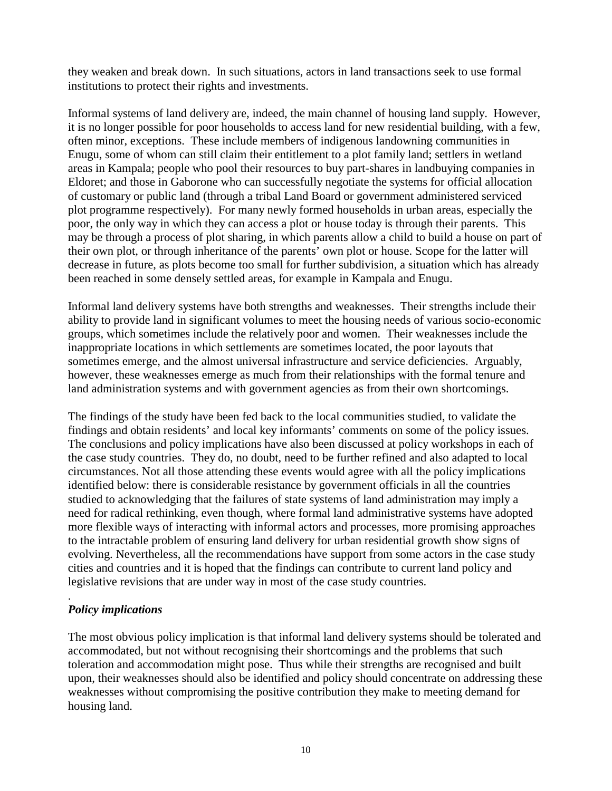they weaken and break down. In such situations, actors in land transactions seek to use formal institutions to protect their rights and investments.

Informal systems of land delivery are, indeed, the main channel of housing land supply. However, it is no longer possible for poor households to access land for new residential building, with a few, often minor, exceptions. These include members of indigenous landowning communities in Enugu, some of whom can still claim their entitlement to a plot family land; settlers in wetland areas in Kampala; people who pool their resources to buy part-shares in landbuying companies in Eldoret; and those in Gaborone who can successfully negotiate the systems for official allocation of customary or public land (through a tribal Land Board or government administered serviced plot programme respectively). For many newly formed households in urban areas, especially the poor, the only way in which they can access a plot or house today is through their parents. This may be through a process of plot sharing, in which parents allow a child to build a house on part of their own plot, or through inheritance of the parents' own plot or house. Scope for the latter will decrease in future, as plots become too small for further subdivision, a situation which has already been reached in some densely settled areas, for example in Kampala and Enugu.

Informal land delivery systems have both strengths and weaknesses. Their strengths include their ability to provide land in significant volumes to meet the housing needs of various socio-economic groups, which sometimes include the relatively poor and women. Their weaknesses include the inappropriate locations in which settlements are sometimes located, the poor layouts that sometimes emerge, and the almost universal infrastructure and service deficiencies. Arguably, however, these weaknesses emerge as much from their relationships with the formal tenure and land administration systems and with government agencies as from their own shortcomings.

The findings of the study have been fed back to the local communities studied, to validate the findings and obtain residents' and local key informants' comments on some of the policy issues. The conclusions and policy implications have also been discussed at policy workshops in each of the case study countries. They do, no doubt, need to be further refined and also adapted to local circumstances. Not all those attending these events would agree with all the policy implications identified below: there is considerable resistance by government officials in all the countries studied to acknowledging that the failures of state systems of land administration may imply a need for radical rethinking, even though, where formal land administrative systems have adopted more flexible ways of interacting with informal actors and processes, more promising approaches to the intractable problem of ensuring land delivery for urban residential growth show signs of evolving. Nevertheless, all the recommendations have support from some actors in the case study cities and countries and it is hoped that the findings can contribute to current land policy and legislative revisions that are under way in most of the case study countries.

#### . *Policy implications*

The most obvious policy implication is that informal land delivery systems should be tolerated and accommodated, but not without recognising their shortcomings and the problems that such toleration and accommodation might pose. Thus while their strengths are recognised and built upon, their weaknesses should also be identified and policy should concentrate on addressing these weaknesses without compromising the positive contribution they make to meeting demand for housing land.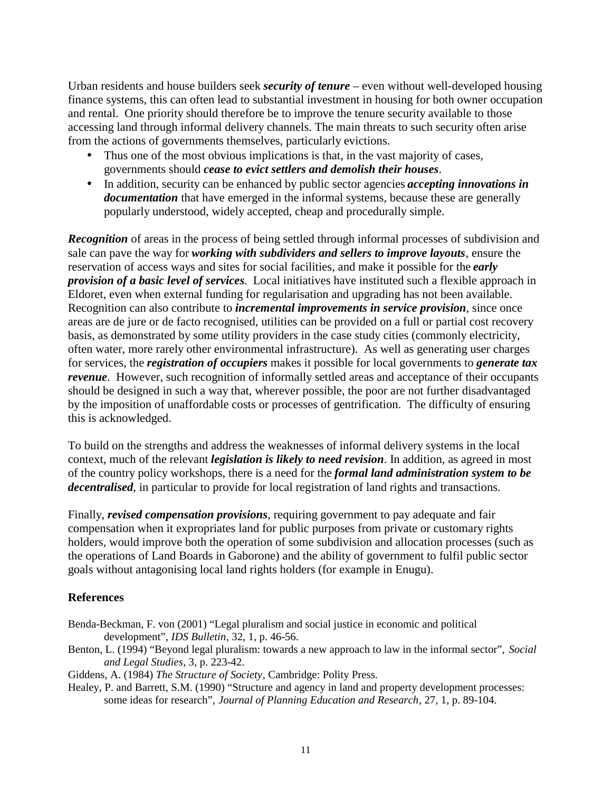Urban residents and house builders seek *security of tenure* – even without well-developed housing finance systems, this can often lead to substantial investment in housing for both owner occupation and rental. One priority should therefore be to improve the tenure security available to those accessing land through informal delivery channels. The main threats to such security often arise from the actions of governments themselves, particularly evictions.

- Thus one of the most obvious implications is that, in the vast majority of cases, governments should *cease to evict settlers and demolish their houses*.
- In addition, security can be enhanced by public sector agencies *accepting innovations in documentation* that have emerged in the informal systems, because these are generally popularly understood, widely accepted, cheap and procedurally simple.

*Recognition* of areas in the process of being settled through informal processes of subdivision and sale can pave the way for *working with subdividers and sellers to improve layouts*, ensure the reservation of access ways and sites for social facilities, and make it possible for the *early provision of a basic level of services*. Local initiatives have instituted such a flexible approach in Eldoret, even when external funding for regularisation and upgrading has not been available. Recognition can also contribute to *incremental improvements in service provision*, since once areas are de jure or de facto recognised, utilities can be provided on a full or partial cost recovery basis, as demonstrated by some utility providers in the case study cities (commonly electricity, often water, more rarely other environmental infrastructure). As well as generating user charges for services, the *registration of occupiers* makes it possible for local governments to *generate tax revenue*. However, such recognition of informally settled areas and acceptance of their occupants should be designed in such a way that, wherever possible, the poor are not further disadvantaged by the imposition of unaffordable costs or processes of gentrification. The difficulty of ensuring this is acknowledged.

To build on the strengths and address the weaknesses of informal delivery systems in the local context, much of the relevant *legislation is likely to need revision*. In addition, as agreed in most of the country policy workshops, there is a need for the *formal land administration system to be decentralised*, in particular to provide for local registration of land rights and transactions.

Finally, *revised compensation provisions*, requiring government to pay adequate and fair compensation when it expropriates land for public purposes from private or customary rights holders, would improve both the operation of some subdivision and allocation processes (such as the operations of Land Boards in Gaborone) and the ability of government to fulfil public sector goals without antagonising local land rights holders (for example in Enugu).

#### **References**

- Benda-Beckman, F. von (2001) "Legal pluralism and social justice in economic and political development", *IDS Bulletin*, 32, 1, p. 46-56.
- Benton, L. (1994) "Beyond legal pluralism: towards a new approach to law in the informal sector", *Social and Legal Studies*, 3, p. 223-42.
- Giddens, A. (1984) *The Structure of Society*, Cambridge: Polity Press.
- Healey, P. and Barrett, S.M. (1990) "Structure and agency in land and property development processes: some ideas for research", *Journal of Planning Education and Research*, 27, 1, p. 89-104.